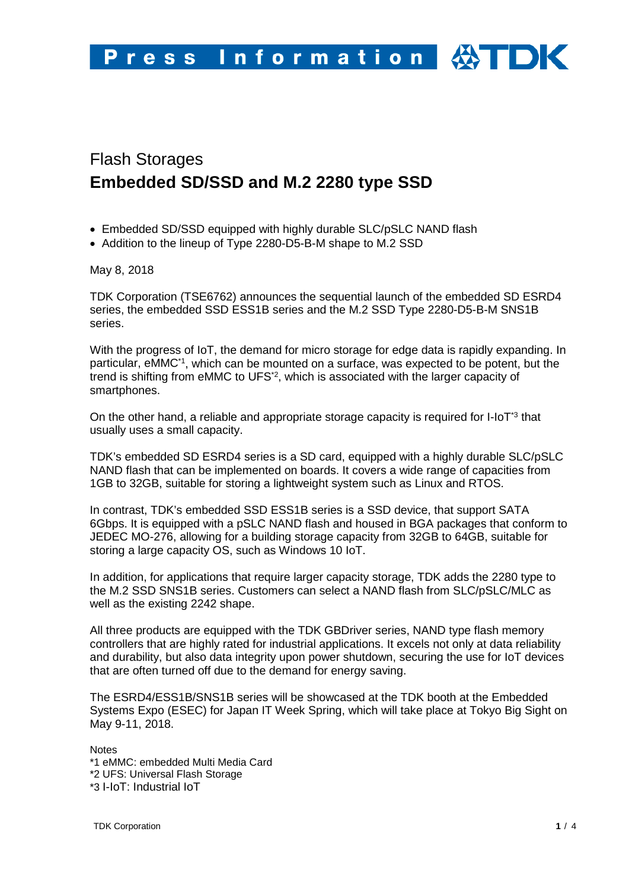# Flash Storages **Embedded SD/SSD and M.2 2280 type SSD**

- Embedded SD/SSD equipped with highly durable SLC/pSLC NAND flash
- Addition to the lineup of Type 2280-D5-B-M shape to M.2 SSD

May 8, 2018

TDK Corporation (TSE6762) announces the sequential launch of the embedded SD ESRD4 series, the embedded SSD ESS1B series and the M.2 SSD Type 2280-D5-B-M SNS1B series.

With the progress of IoT, the demand for micro storage for edge data is rapidly expanding. In particular, eMMC\*1, which can be mounted on a surface, was expected to be potent, but the trend is shifting from eMMC to UFS\*2, which is associated with the larger capacity of smartphones.

On the other hand, a reliable and appropriate storage capacity is required for  $I$ -IoT<sup>-3</sup> that usually uses a small capacity.

TDK's embedded SD ESRD4 series is a SD card, equipped with a highly durable SLC/pSLC NAND flash that can be implemented on boards. It covers a wide range of capacities from 1GB to 32GB, suitable for storing a lightweight system such as Linux and RTOS.

In contrast, TDK's embedded SSD ESS1B series is a SSD device, that support SATA 6Gbps. It is equipped with a pSLC NAND flash and housed in BGA packages that conform to JEDEC MO-276, allowing for a building storage capacity from 32GB to 64GB, suitable for storing a large capacity OS, such as Windows 10 IoT.

In addition, for applications that require larger capacity storage, TDK adds the 2280 type to the M.2 SSD SNS1B series. Customers can select a NAND flash from SLC/pSLC/MLC as well as the existing 2242 shape.

All three products are equipped with the TDK GBDriver series, NAND type flash memory controllers that are highly rated for industrial applications. It excels not only at data reliability and durability, but also data integrity upon power shutdown, securing the use for IoT devices that are often turned off due to the demand for energy saving.

The ESRD4/ESS1B/SNS1B series will be showcased at the TDK booth at the Embedded Systems Expo (ESEC) for Japan IT Week Spring, which will take place at Tokyo Big Sight on May 9-11, 2018.

**Notes** \*1 eMMC: embedded Multi Media Card \*2 UFS: Universal Flash Storage \*3 I-IoT: Industrial IoT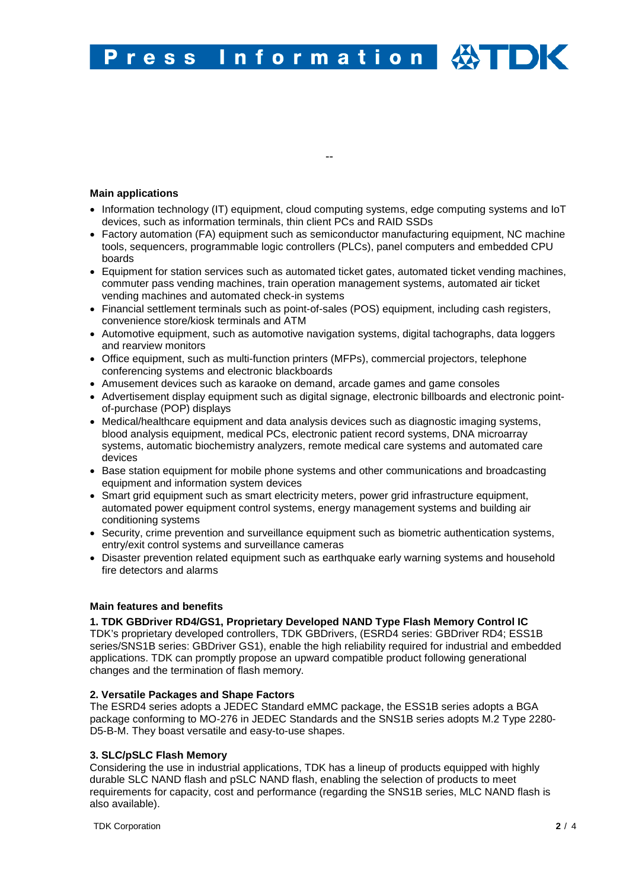#### Information **HOK** Press

## **Main applications**

• Information technology (IT) equipment, cloud computing systems, edge computing systems and IoT devices, such as information terminals, thin client PCs and RAID SSDs

--

- Factory automation (FA) equipment such as semiconductor manufacturing equipment, NC machine tools, sequencers, programmable logic controllers (PLCs), panel computers and embedded CPU boards
- Equipment for station services such as automated ticket gates, automated ticket vending machines, commuter pass vending machines, train operation management systems, automated air ticket vending machines and automated check-in systems
- Financial settlement terminals such as point-of-sales (POS) equipment, including cash registers, convenience store/kiosk terminals and ATM
- Automotive equipment, such as automotive navigation systems, digital tachographs, data loggers and rearview monitors
- Office equipment, such as multi-function printers (MFPs), commercial projectors, telephone conferencing systems and electronic blackboards
- Amusement devices such as karaoke on demand, arcade games and game consoles
- Advertisement display equipment such as digital signage, electronic billboards and electronic pointof-purchase (POP) displays
- Medical/healthcare equipment and data analysis devices such as diagnostic imaging systems, blood analysis equipment, medical PCs, electronic patient record systems, DNA microarray systems, automatic biochemistry analyzers, remote medical care systems and automated care devices
- Base station equipment for mobile phone systems and other communications and broadcasting equipment and information system devices
- Smart grid equipment such as smart electricity meters, power grid infrastructure equipment, automated power equipment control systems, energy management systems and building air conditioning systems
- Security, crime prevention and surveillance equipment such as biometric authentication systems, entry/exit control systems and surveillance cameras
- Disaster prevention related equipment such as earthquake early warning systems and household fire detectors and alarms

#### **Main features and benefits**

#### **1. TDK GBDriver RD4/GS1, Proprietary Developed NAND Type Flash Memory Control IC**

TDK's proprietary developed controllers, TDK GBDrivers, (ESRD4 series: GBDriver RD4; ESS1B series/SNS1B series: GBDriver GS1), enable the high reliability required for industrial and embedded applications. TDK can promptly propose an upward compatible product following generational changes and the termination of flash memory.

#### **2. Versatile Packages and Shape Factors**

The ESRD4 series adopts a JEDEC Standard eMMC package, the ESS1B series adopts a BGA package conforming to MO-276 in JEDEC Standards and the SNS1B series adopts M.2 Type 2280- D5-B-M. They boast versatile and easy-to-use shapes.

## **3. SLC/pSLC Flash Memory**

Considering the use in industrial applications, TDK has a lineup of products equipped with highly durable SLC NAND flash and pSLC NAND flash, enabling the selection of products to meet requirements for capacity, cost and performance (regarding the SNS1B series, MLC NAND flash is also available).

TDK Corporation **2** / 4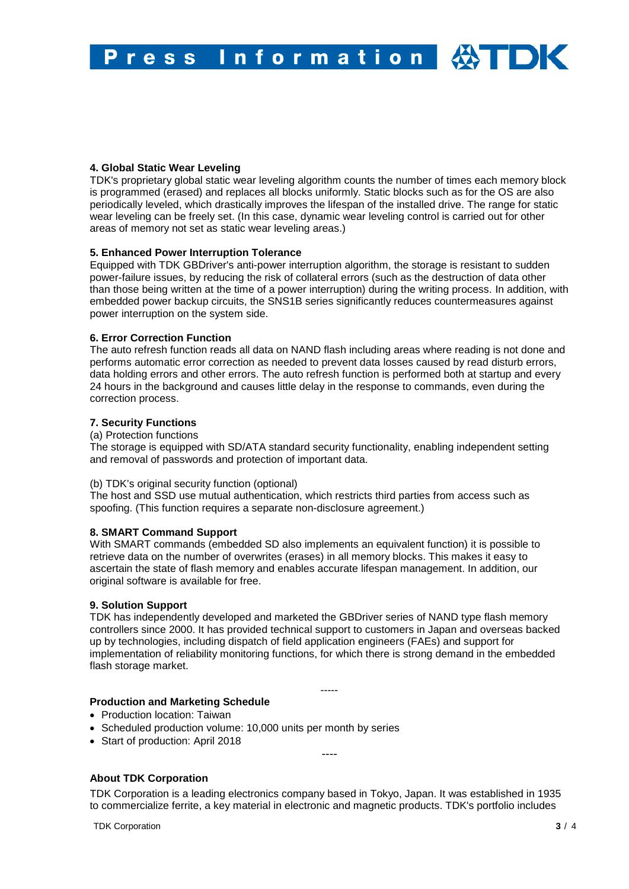# **4. Global Static Wear Leveling**

TDK's proprietary global static wear leveling algorithm counts the number of times each memory block is programmed (erased) and replaces all blocks uniformly. Static blocks such as for the OS are also periodically leveled, which drastically improves the lifespan of the installed drive. The range for static wear leveling can be freely set. (In this case, dynamic wear leveling control is carried out for other areas of memory not set as static wear leveling areas.)

## **5. Enhanced Power Interruption Tolerance**

Equipped with TDK GBDriver's anti-power interruption algorithm, the storage is resistant to sudden power-failure issues, by reducing the risk of collateral errors (such as the destruction of data other than those being written at the time of a power interruption) during the writing process. In addition, with embedded power backup circuits, the SNS1B series significantly reduces countermeasures against power interruption on the system side.

## **6. Error Correction Function**

The auto refresh function reads all data on NAND flash including areas where reading is not done and performs automatic error correction as needed to prevent data losses caused by read disturb errors, data holding errors and other errors. The auto refresh function is performed both at startup and every 24 hours in the background and causes little delay in the response to commands, even during the correction process.

# **7. Security Functions**

## (a) Protection functions

The storage is equipped with SD/ATA standard security functionality, enabling independent setting and removal of passwords and protection of important data.

# (b) TDK's original security function (optional)

The host and SSD use mutual authentication, which restricts third parties from access such as spoofing. (This function requires a separate non-disclosure agreement.)

## **8. SMART Command Support**

With SMART commands (embedded SD also implements an equivalent function) it is possible to retrieve data on the number of overwrites (erases) in all memory blocks. This makes it easy to ascertain the state of flash memory and enables accurate lifespan management. In addition, our original software is available for free.

## **9. Solution Support**

TDK has independently developed and marketed the GBDriver series of NAND type flash memory controllers since 2000. It has provided technical support to customers in Japan and overseas backed up by technologies, including dispatch of field application engineers (FAEs) and support for implementation of reliability monitoring functions, for which there is strong demand in the embedded flash storage market.

-----

## **Production and Marketing Schedule**

- Production location: Taiwan
- Scheduled production volume: 10,000 units per month by series
- Start of production: April 2018

----

# **About TDK Corporation**

TDK Corporation is a leading electronics company based in Tokyo, Japan. It was established in 1935 to commercialize ferrite, a key material in electronic and magnetic products. TDK's portfolio includes

TDK Corporation **3** / 4